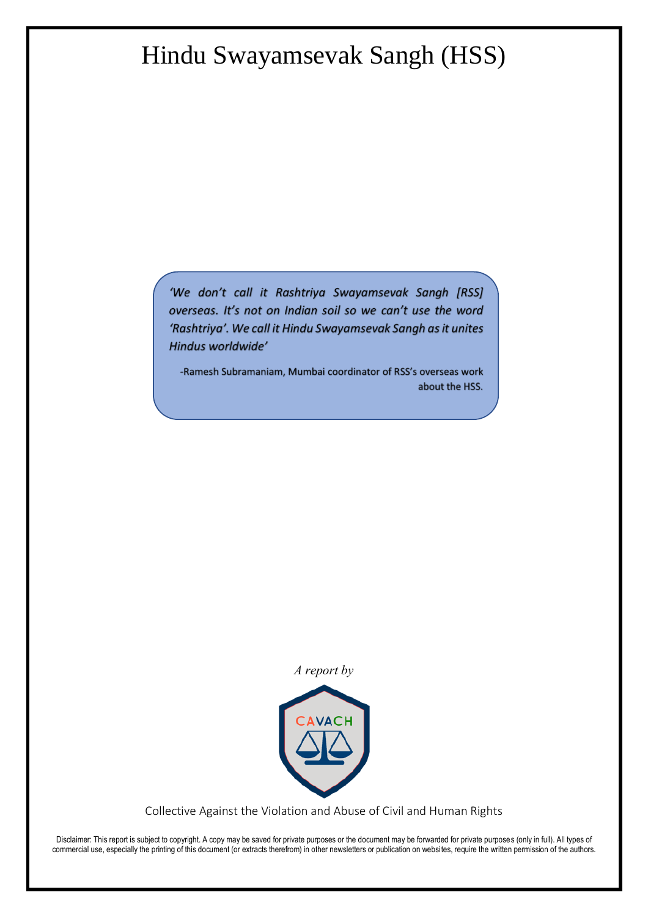# Hindu Swayamsevak Sangh (HSS)

'We don't call it Rashtriya Swayamsevak Sangh [RSS] overseas. It's not on Indian soil so we can't use the word 'Rashtriya'. We call it Hindu Swayamsevak Sangh as it unites Hindus worldwide'

-Ramesh Subramaniam, Mumbai coordinator of RSS's overseas work about the HSS.

*A report by*



Collective Against the Violation and Abuse of Civil and Human Rights

Disclaimer: This report is subject to copyright. A copy may be saved for private purposes or the document may be forwarded for private purposes (only in full). All types of commercial use, especially the printing of this document (or extracts therefrom) in other newsletters or publication on websites, require the written permission of the authors.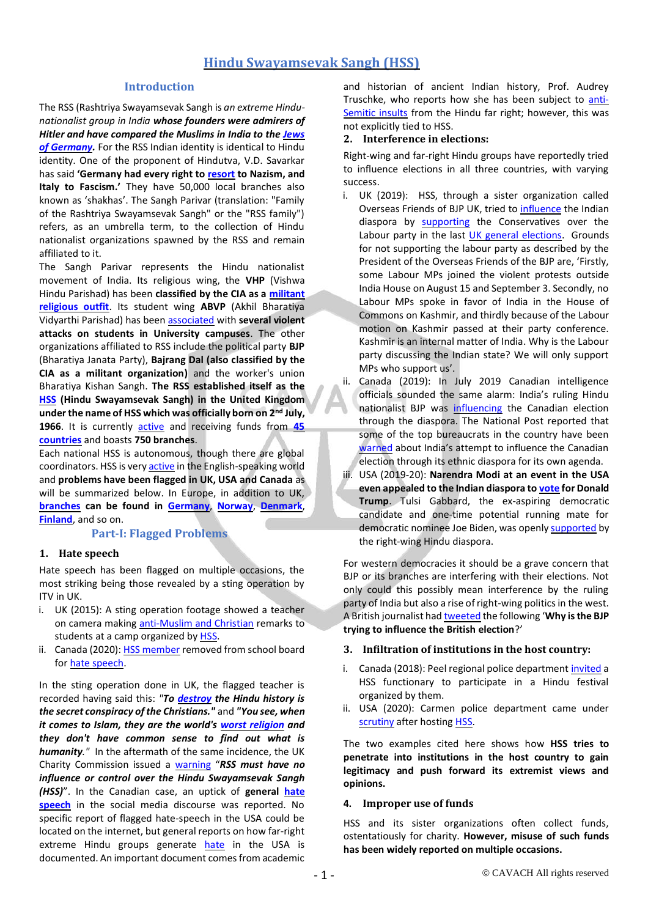## **Hindu Swayamsevak Sangh (HSS)**

#### **Introduction**

The RSS (Rashtriya Swayamsevak Sangh is *an extreme Hindunationalist group in India whose founders were admirers of Hitler and have compared the Muslims in India to the [Jews](https://theintercept.com/2019/09/21/howdy-modi-trump-anders-brevik/)*  of **Germany**. For the RSS Indian identity is identical to Hindu identity. One of the proponent of Hindutva, V.D. Savarkar has said **'Germany had every right to [resort](https://theintercept.com/2019/09/21/howdy-modi-trump-anders-brevik/) to Nazism, and Italy to Fascism.'** They have 50,000 local branches also known as 'shakhas'. The Sangh Parivar (translation: "Family of the Rashtriya Swayamsevak Sangh" or the "RSS family") refers, as an umbrella term, to the collection of Hindu nationalist organizations spawned by the RSS and remain affiliated to it.

The Sangh Parivar represents the Hindu nationalist movement of India. Its religious wing, the **VHP** (Vishwa Hindu Parishad) has been **classified by the CIA as a [militant](https://timesofindia.indiatimes.com/india/vhp-a-militant-religious-outfit-rss-nationalist-cia-factbook/articleshow/64594295.cms)  [religious outfit](https://timesofindia.indiatimes.com/india/vhp-a-militant-religious-outfit-rss-nationalist-cia-factbook/articleshow/64594295.cms)**. Its student wing **ABVP** (Akhil Bharatiya Vidyarthi Parishad) has been [associated](https://scroll.in/latest/949464/jnu-violence-abvp-member-admitted-on-camera-that-he-planned-attack-claims-india-today-sting) with **several violent attacks on students in University campuses**. The other organizations affiliated to RSS include the political party **BJP** (Bharatiya Janata Party), **Bajrang Dal (also classified by the CIA as a militant organization)** and the worker's union Bharatiya Kishan Sangh. **The RSS established itself as the [HSS](http://www.e-diasporas.fr/working-papers/Therwath-Hindutva-EN.pdf) (Hindu Swayamsevak Sangh) in the United Kingdom under the name of HSS which was officially born on 2nd July, 1966**. It is currently [active](https://dailynht.com/story/15541) and receiving funds from **[45](http://hssalberta.org/index.php/mission-vision-leading-lights-history-weekly-sakhas/history-of-hindu-swayamsevak-sangh/)  [countries](http://hssalberta.org/index.php/mission-vision-leading-lights-history-weekly-sakhas/history-of-hindu-swayamsevak-sangh/)** and boasts **750 branches**.

Each national HSS is autonomous, though there are global coordinators. HSS is ver[y active](https://qz.com/india/1350285/rss-and-the-spread-of-hindu-nationalism-in-us/) in the English-speaking world and **problems have been flagged in UK, USA and Canada** as will be summarized below. In Europe, in addition to UK, **[branches](https://zeenews.india.com/news/india/from-us-to-uk-how-rss-gone-global-with-overseas-wing-hindu-swayamsevak-sangh-in-39-countries_1836942.html) can be found in [Germany](http://hssgermany.org/)**, **[Norway](https://www.hssnorway.org/)**, **[Denmark](https://www.facebook.com/hssdenmark)**, **[Finland](https://www.facebook.com/HSSFinland/)**, and so on.

#### **Part-I: Flagged Problems**

#### **1. Hate speech**

Hate speech has been flagged on multiple occasions, the most striking being those revealed by a sting operation by ITV in UK.

- i. UK (2015): A sting operation footage showed a teacher on camera making [anti-Muslim and Christian](https://indianexpress.com/article/world/europe/rss-inspired-charity-hindu-swayamsevak-sangh-under-probe-in-uk-over-extremist-views/) remarks to students at a camp organized by [HSS.](https://www.rediff.com/news/report/rss-inspired-charity-under-probe-in-uk-over-extremist-views/20150220.htm)
- ii. Canada (2020)[: HSS member](https://www.antihate.ca/tags/rss) removed from school board fo[r hate speech.](https://foreignpolicy.com/2020/07/01/india-islamophobia-global-bjp-hindu-nationalism-canada/)

In the sting operation done in UK, the flagged teacher is recorded having said this: *"To [destroy](https://radicalbritain.blogspot.com/2015/03/exposure-on-hindu-swayamsevak-sangh.html) the Hindu history is the secret conspiracy of the Christians."* and *"You see, when it comes to Islam, they are the world's [worst religion](https://www.itv.com/news/2015-02-18/exposure-the-charities-accused-of-promoting-hatred-and-extremist-views/) and they don't have common sense to find out what is humanity."* In the aftermath of the same incidence, the UK Charity Commission issued a [warning](https://sabrangindia.in/article/keep-away-rss-uk-charity-watchdog-warns-hss) "*RSS must have no influence or control over the Hindu Swayamsevak Sangh (HSS)*". In the Canadian case, an uptick of **general [hate](https://www.antihate.ca/tags/rss)  [speech](https://www.antihate.ca/tags/rss)** in the social media discourse was reported. No specific report of flagged hate-speech in the USA could be located on the internet, but general reports on how far-right extreme Hindu groups generate [hate](https://www.dailyo.in/politics/hindu-nris-united-states-trump-hate-modi/story/1/17796.html) in the USA is documented. An important document comes from academic

and historian of ancient Indian history, Prof. Audrey Truschke, who reports how she has been subject to [anti-](https://scroll.in/article/901309/how-indias-hindu-nationalists-are-increasingly-using-anti-semitism-as-a-ready-tool-of-hate)[Semitic insults](https://scroll.in/article/901309/how-indias-hindu-nationalists-are-increasingly-using-anti-semitism-as-a-ready-tool-of-hate) from the Hindu far right; however, this was not explicitly tied to HSS.

#### **2. Interference in elections:**

Right-wing and far-right Hindu groups have reportedly tried to influence elections in all three countries, with varying success.

- i. UK (2019): HSS, through a sister organization called Overseas Friends of BJP UK, tried t[o influence](https://www.theguardian.com/politics/2019/nov/11/british-indians-warn-hindu-party-not-to-meddle-in-uk-elections) the Indian diaspora by [supporting](https://scroll.in/article/943762/bjp-is-leveraging-its-impressive-hindu-diaspora-network-to-influence-politics-in-uk-us-and-canada) the Conservatives over the Labour party in the last [UK general elections.](https://www.hopenothate.org.uk/magazine/in-search-of-hope/hindu-nationalism/) Grounds for not supporting the labour party as described by the President of the Overseas Friends of the BJP are, 'Firstly, some Labour MPs joined the violent protests outside India House on August 15 and September 3. Secondly, no Labour MPs spoke in favor of India in the House of Commons on Kashmir, and thirdly because of the Labour motion on Kashmir passed at their party conference. Kashmir is an internal matter of India. Why is the Labour party discussing the Indian state? We will only support MPs who support us'.
- ii. Canada (2019): In July 2019 Canadian intelligence officials sounded the same alarm: India's ruling Hindu nationalist BJP was [influencing](https://www.hopenothate.org.uk/magazine/in-search-of-hope/hindu-nationalism/) the Canadian election through the diaspora. The National Post reported that some of the top bureaucrats in the country have been [warned](https://nationalpost.com/news/politics/officials-warned-china-india-could-use-communities-in-canada-to-advance-agendas) about India's attempt to influence the Canadian election through its ethnic diaspora for its own agenda.
- iii. USA (2019-20): **Narendra Modi at an event in the USA even appealed to the Indian diaspora t[o vote](https://scroll.in/article/943762/bjp-is-leveraging-its-impressive-hindu-diaspora-network-to-influence-politics-in-uk-us-and-canada) for Donald Trump**. Tulsi Gabbard, the ex-aspiring democratic candidate and one-time potential running mate for democratic nominee Joe Biden, was openl[y supported](https://world-defense.com/threads/bjp-in-india-rss-in-the-us-the-american-sangh’s-affair-with-tulsi-gabbard.7083/) by the right-wing Hindu diaspora.

For western democracies it should be a grave concern that BJP or its branches are interfering with their elections. Not only could this possibly mean interference by the ruling party of India but also a rise of right-wing politics in the west. A British journalist ha[d tweeted](https://twitter.com/richardassheton/status/1192355090516062209?ref_src=twsrc%5Etfw%7Ctwcamp%5Etweetembed%7Ctwterm%5E1192355090516062209%7Ctwgr%5E&ref_url=https%3A%2F%2Fscroll.in%2Farticle%2F943762%2Fbjp-is-leveraging-its-impressive-hindu-diaspora-network-to-influence-politics-in-uk-us-and-canada) the following '**Why is the BJP trying to influence the British election**?'

#### **3. Infiltration of institutions in the host country:**

- i. Canada (2018): Peel regional police departmen[t invited](https://www.antihate.ca/tags/rss) a HSS functionary to participate in a Hindu festival organized by them.
- ii. USA (2020): Carmen police department came under [scrutiny](https://www.sikh24.com/2020/02/14/rss-lecture-to-indiana-police-department-sparks-outrage/) after hosting [HSS.](https://www.ofmi.org/fascist-indian-groups-presentation-to-police-in-indiana-sparks-outrage/)

The two examples cited here shows how **HSS tries to penetrate into institutions in the host country to gain legitimacy and push forward its extremist views and opinions.**

#### **4. Improper use of funds**

HSS and its sister organizations often collect funds, ostentatiously for charity. **However, misuse of such funds has been widely reported on multiple occasions.**